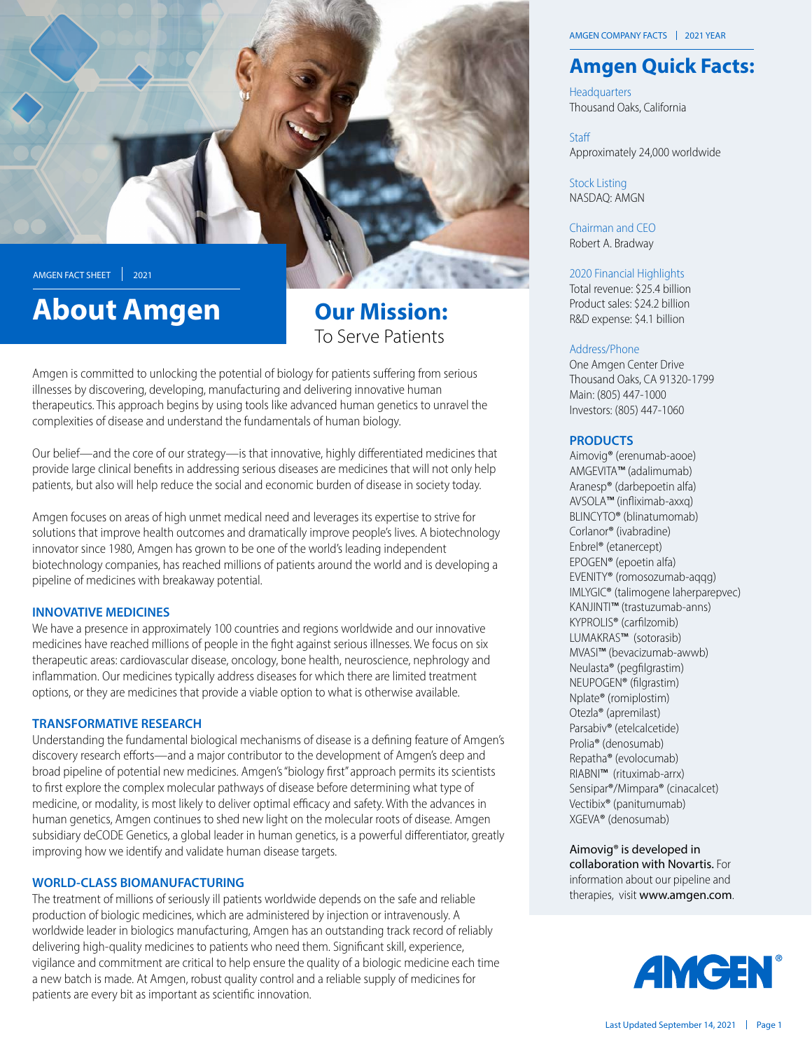

# **About Amgen**

# **Our Mission:** To Serve Patients

Amgen is committed to unlocking the potential of biology for patients suffering from serious illnesses by discovering, developing, manufacturing and delivering innovative human therapeutics. This approach begins by using tools like advanced human genetics to unravel the complexities of disease and understand the fundamentals of human biology.

Our belief—and the core of our strategy—is that innovative, highly differentiated medicines that provide large clinical benefits in addressing serious diseases are medicines that will not only help patients, but also will help reduce the social and economic burden of disease in society today.

Amgen focuses on areas of high unmet medical need and leverages its expertise to strive for solutions that improve health outcomes and dramatically improve people's lives. A biotechnology innovator since 1980, Amgen has grown to be one of the world's leading independent biotechnology companies, has reached millions of patients around the world and is developing a pipeline of medicines with breakaway potential.

# **INNOVATIVE MEDICINES**

We have a presence in approximately 100 countries and regions worldwide and our innovative medicines have reached millions of people in the fight against serious illnesses. We focus on six therapeutic areas: cardiovascular disease, oncology, bone health, neuroscience, nephrology and inflammation. Our medicines typically address diseases for which there are limited treatment options, or they are medicines that provide a viable option to what is otherwise available.

#### **TRANSFORMATIVE RESEARCH**

Understanding the fundamental biological mechanisms of disease is a defining feature of Amgen's discovery research efforts—and a major contributor to the development of Amgen's deep and broad pipeline of potential new medicines. Amgen's "biology first" approach permits its scientists to first explore the complex molecular pathways of disease before determining what type of medicine, or modality, is most likely to deliver optimal efficacy and safety. With the advances in human genetics, Amgen continues to shed new light on the molecular roots of disease. Amgen subsidiary deCODE Genetics, a global leader in human genetics, is a powerful differentiator, greatly improving how we identify and validate human disease targets.

# **WORLD-CLASS BIOMANUFACTURING**

The treatment of millions of seriously ill patients worldwide depends on the safe and reliable production of biologic medicines, which are administered by injection or intravenously. A worldwide leader in biologics manufacturing, Amgen has an outstanding track record of reliably delivering high-quality medicines to patients who need them. Significant skill, experience, vigilance and commitment are critical to help ensure the quality of a biologic medicine each time a new batch is made. At Amgen, robust quality control and a reliable supply of medicines for patients are every bit as important as scientific innovation.

# **Amgen Quick Facts:**

**Headquarters** Thousand Oaks, California

Staff Approximately 24,000 worldwide

**Stock Listing** NASDAO: AMGN

Chairman and CEO Robert A. Bradway

2020 Financial Highlights

Total revenue: \$25.4 billion Product sales: \$24.2 billion R&D expense: \$4.1 billion

#### Address/Phone

One Amgen Center Drive Thousand Oaks, CA 91320-1799 Main: (805) 447-1000 Investors: (805) 447-1060

#### **PRODUCTS**

Aimovig<sup>®</sup> (erenumab-aooe) AMGEVITA™ (adalimumab) Aranesp<sup>®</sup> (darbepoetin alfa) AVSOLA™ (infliximab-axxq) BLINCYTO<sup>®</sup> (blinatumomab) Corlanor<sup>®</sup> (ivabradine) Enbrel® (etanercept) EPOGEN® (epoetin alfa) EVENITY® (romosozumab-aqqq) IMLYGIC® (talimogene laherparepvec) KANJINTI™ (trastuzumab-anns) KYPROLIS<sup>®</sup> (carfilzomib) LUMAKRAS™ (sotorasib) MVASI™ (bevacizumab-awwb) Neulasta® (pegfilgrastim) NEUPOGEN<sup>®</sup> (filgrastim) Nplate® (romiplostim) Otezla® (apremilast) Parsabiv<sup>®</sup> (etelcalcetide) Prolia<sup>®</sup> (denosumab) Repatha<sup>®</sup> (evolocumab) RIABNI™ (rituximab-arrx) Sensipar<sup>®</sup>/Mimpara<sup>®</sup> (cinacalcet) Vectibix<sup>®</sup> (panitumumab) XGEVA® (denosumab)

Aimovig<sup>®</sup> is developed in collaboration with Novartis. For information about our pipeline and therapies, visit www.amgen.com.